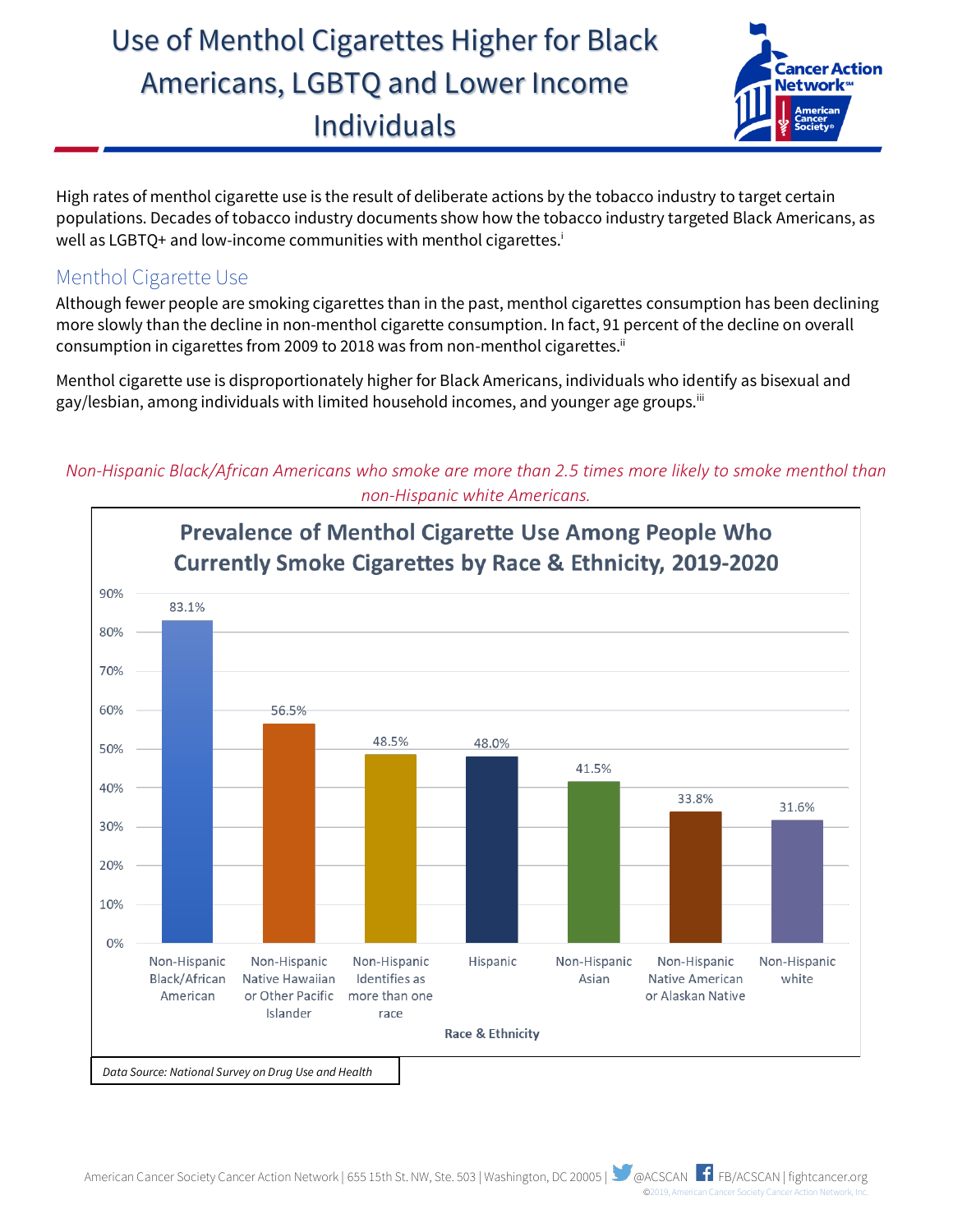## Use of Menthol Cigarettes Higher for Black Americans, LGBTQ and Lower Income Individuals



High rates of menthol cigarette use is the result of deliberate actions by the tobacco industry to target certain populations. Decades of tobacco industry documents show how the tobacco industry targeted Black Americans, as well as LGBTQ+ and low-income communities with menthol cigarettes. i

## Menthol Cigarette Use

Although fewer people are smoking cigarettes than in the past, menthol cigarettes consumption has been declining more slowly than the decline in non-menthol cigarette consumption. In fact, 91 percent of the decline on overall consumption in cigarettes from 2009 to 2018 was from non-menthol cigarettes.<sup>ii</sup>

Menthol cigarette use is disproportionately higher for Black Americans, individuals who identify as bisexual and gay/lesbian, among individuals with limited household incomes, and younger age groups.<sup>iii</sup>

*Non-Hispanic Black/African Americans who smoke are more than 2.5 times more likely to smoke menthol than non-Hispanic white Americans.*

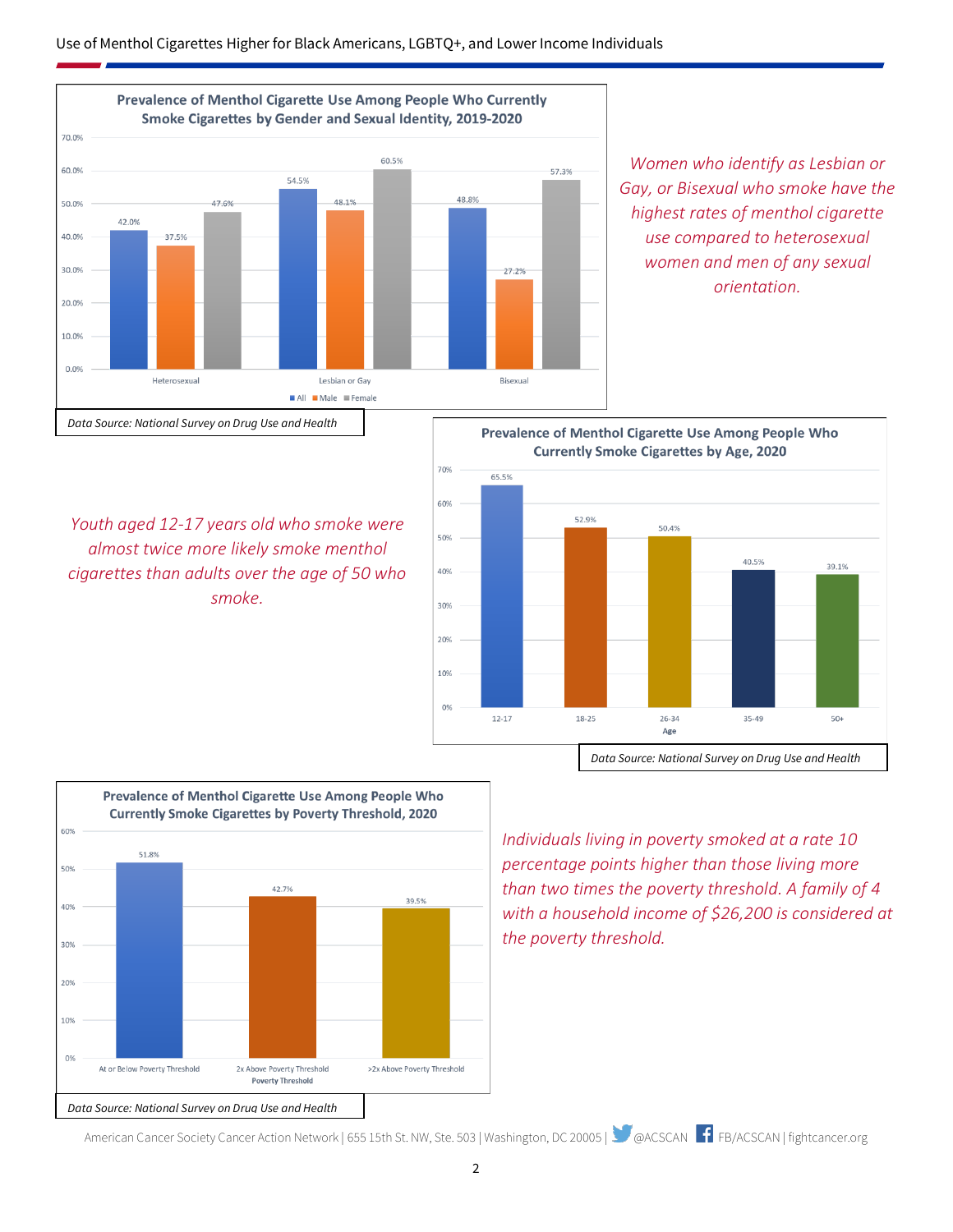

*Women who identify as Lesbian or Gay, or Bisexual who smoke have the highest rates of menthol cigarette use compared to heterosexual women and men of any sexual orientation.*

*Youth aged 12-17 years old who smoke were almost twice more likely smoke menthol cigarettes than adults over the age of 50 who smoke.*





*Individuals living in poverty smoked at a rate 10 percentage points higher than those living more than two times the poverty threshold. A family of 4 with a household income of \$26,200 is considered at the poverty threshold.*

American Cancer Society Cancer Action Network | 655 15th St. NW, Ste. 503 | Washington, DC 20005 | @ACSCAN FFB/ACSCAN | fightcancer.org